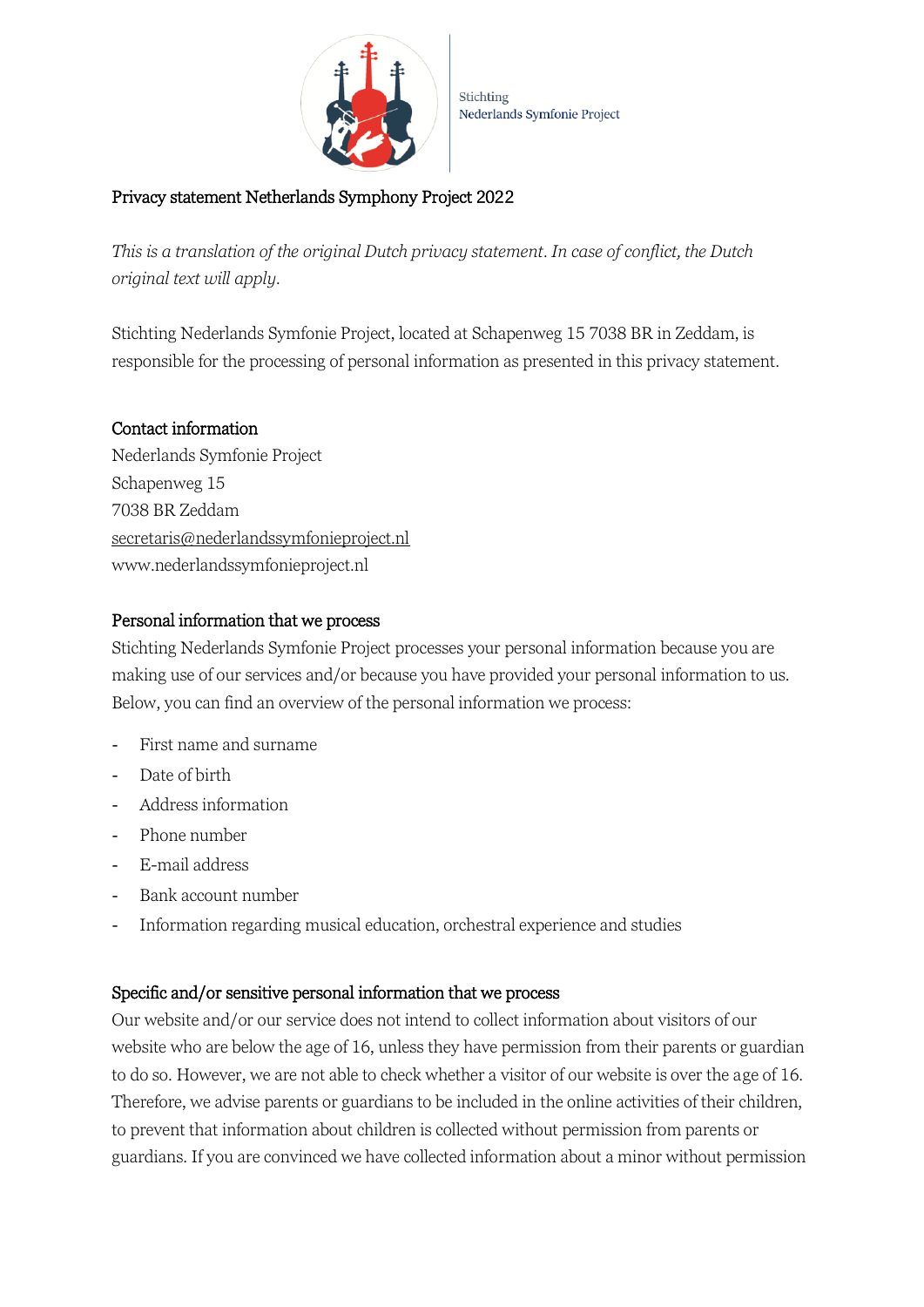

# Privacy statement Netherlands Symphony Project 2022

*This is a translation of the original Dutch privacy statement. In case of conflict, the Dutch original text will apply.* 

Stichting Nederlands Symfonie Project, located at Schapenweg 15 7038 BR in Zeddam, is responsible for the processing of personal information as presented in this privacy statement.

## Contact information

Nederlands Symfonie Project Schapenweg 15 7038 BR Zeddam secretaris@nederlandssymfonieproject.nl www.nederlandssymfonieproject.nl

## Personal information that we process

Stichting Nederlands Symfonie Project processes your personal information because you are making use of our services and/or because you have provided your personal information to us. Below, you can find an overview of the personal information we process:

- First name and surname
- Date of birth
- Address information
- Phone number
- E-mail address
- Bank account number
- Information regarding musical education, orchestral experience and studies

#### Specific and/or sensitive personal information that we process

Our website and/or our service does not intend to collect information about visitors of our website who are below the age of 16, unless they have permission from their parents or guardian to do so. However, we are not able to check whether a visitor of our website is over the age of 16. Therefore, we advise parents or guardians to be included in the online activities of their children, to prevent that information about children is collected without permission from parents or guardians. If you are convinced we have collected information about a minor without permission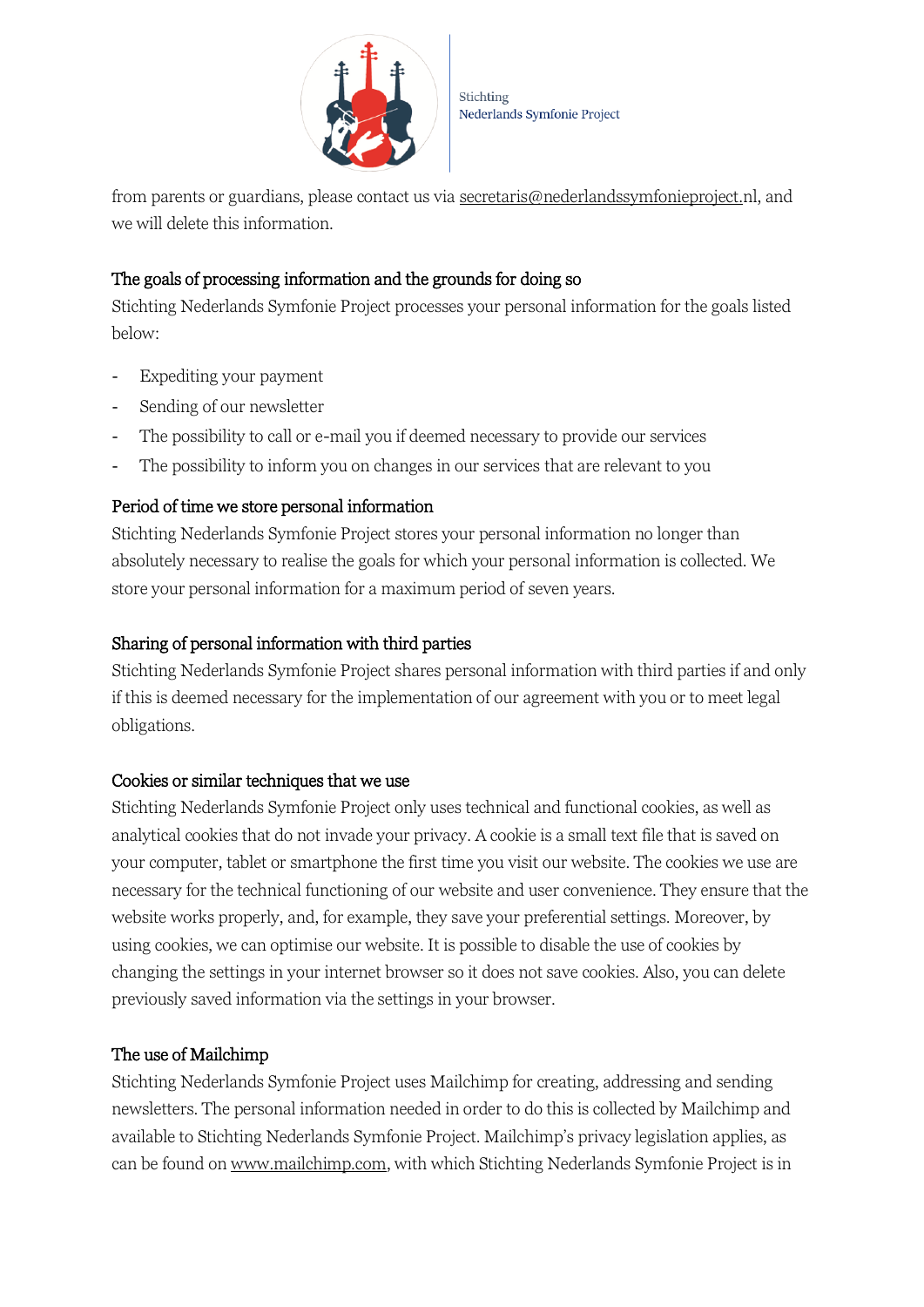

from parents or guardians, please contact us via [secretaris@nederlandssymfonieproject.nl,](mailto:secretaris@nederlandssymfonieproject.nl) and we will delete this information.

# The goals of processing information and the grounds for doing so

Stichting Nederlands Symfonie Project processes your personal information for the goals listed below:

- Expediting your payment
- Sending of our newsletter
- The possibility to call or e-mail you if deemed necessary to provide our services
- The possibility to inform you on changes in our services that are relevant to you

# Period of time we store personal information

Stichting Nederlands Symfonie Project stores your personal information no longer than absolutely necessary to realise the goals for which your personal information is collected. We store your personal information for a maximum period of seven years.

# Sharing of personal information with third parties

Stichting Nederlands Symfonie Project shares personal information with third parties if and only if this is deemed necessary for the implementation of our agreement with you or to meet legal obligations.

## Cookies or similar techniques that we use

Stichting Nederlands Symfonie Project only uses technical and functional cookies, as well as analytical cookies that do not invade your privacy. A cookie is a small text file that is saved on your computer, tablet or smartphone the first time you visit our website. The cookies we use are necessary for the technical functioning of our website and user convenience. They ensure that the website works properly, and, for example, they save your preferential settings. Moreover, by using cookies, we can optimise our website. It is possible to disable the use of cookies by changing the settings in your internet browser so it does not save cookies. Also, you can delete previously saved information via the settings in your browser.

# The use of Mailchimp

Stichting Nederlands Symfonie Project uses Mailchimp for creating, addressing and sending newsletters. The personal information needed in order to do this is collected by Mailchimp and available to Stichting Nederlands Symfonie Project. Mailchimp's privacy legislation applies, as can be found o[n www.mailchimp.com,](http://www.mailchimp.com/) with which Stichting Nederlands Symfonie Project is in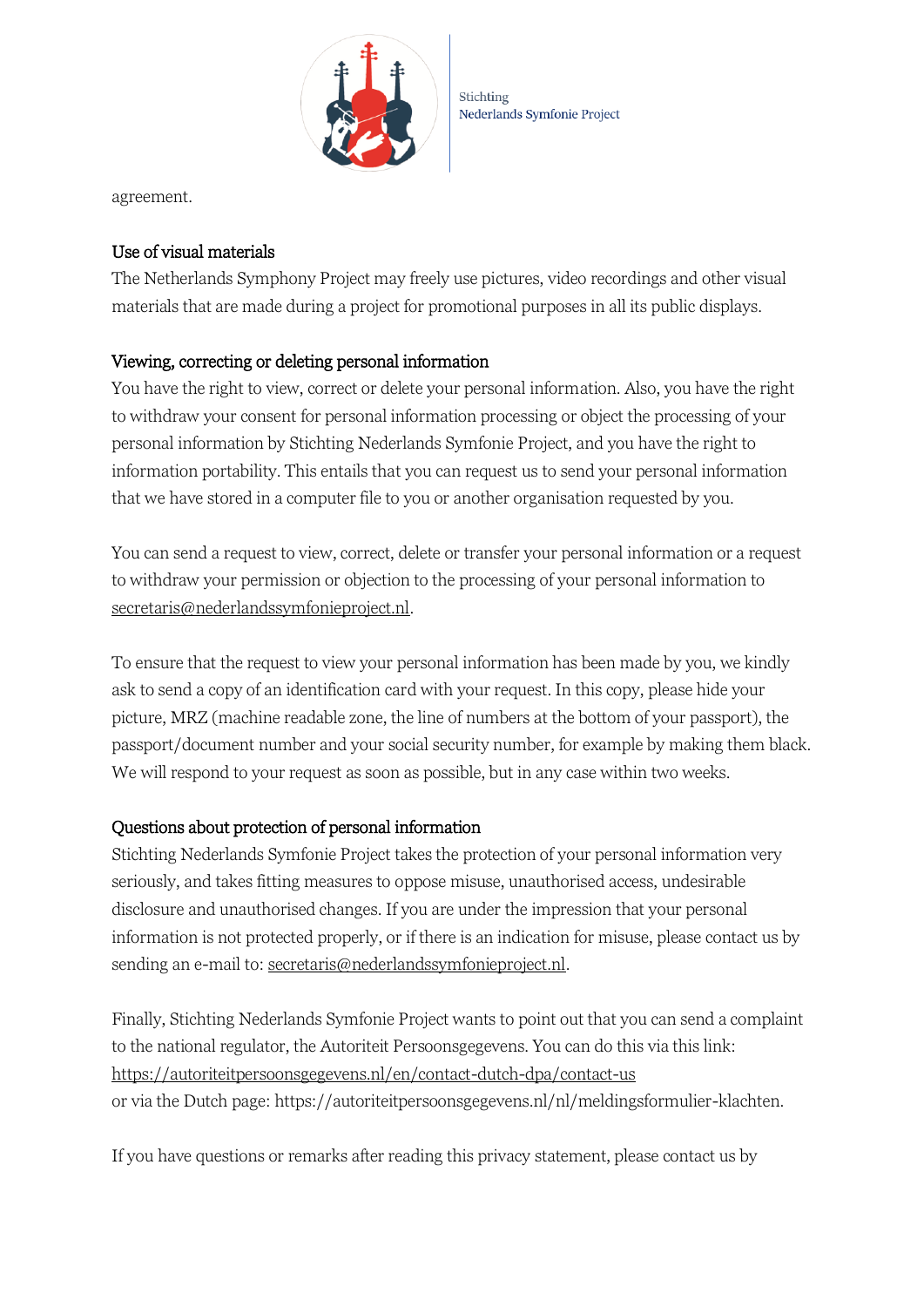

Stichting Nederlands Symfonie Project

agreement.

### Use of visual materials

The Netherlands Symphony Project may freely use pictures, video recordings and other visual materials that are made during a project for promotional purposes in all its public displays.

### Viewing, correcting or deleting personal information

You have the right to view, correct or delete your personal information. Also, you have the right to withdraw your consent for personal information processing or object the processing of your personal information by Stichting Nederlands Symfonie Project, and you have the right to information portability. This entails that you can request us to send your personal information that we have stored in a computer file to you or another organisation requested by you.

You can send a request to view, correct, delete or transfer your personal information or a request to withdraw your permission or objection to the processing of your personal information to secretaris@nederlandssymfonieproject.nl.

To ensure that the request to view your personal information has been made by you, we kindly ask to send a copy of an identification card with your request. In this copy, please hide your picture, MRZ (machine readable zone, the line of numbers at the bottom of your passport), the passport/document number and your social security number, for example by making them black. We will respond to your request as soon as possible, but in any case within two weeks.

## Questions about protection of personal information

Stichting Nederlands Symfonie Project takes the protection of your personal information very seriously, and takes fitting measures to oppose misuse, unauthorised access, undesirable disclosure and unauthorised changes. If you are under the impression that your personal information is not protected properly, or if there is an indication for misuse, please contact us by sending an e-mail to: secretaris@nederlandssymfonieproject.nl.

Finally, Stichting Nederlands Symfonie Project wants to point out that you can send a complaint to the national regulator, the Autoriteit Persoonsgegevens. You can do this via this link: <https://autoriteitpersoonsgegevens.nl/en/contact-dutch-dpa/contact-us> or via the Dutch page: https://autoriteitpersoonsgegevens.nl/nl/meldingsformulier-klachten.

If you have questions or remarks after reading this privacy statement, please contact us by